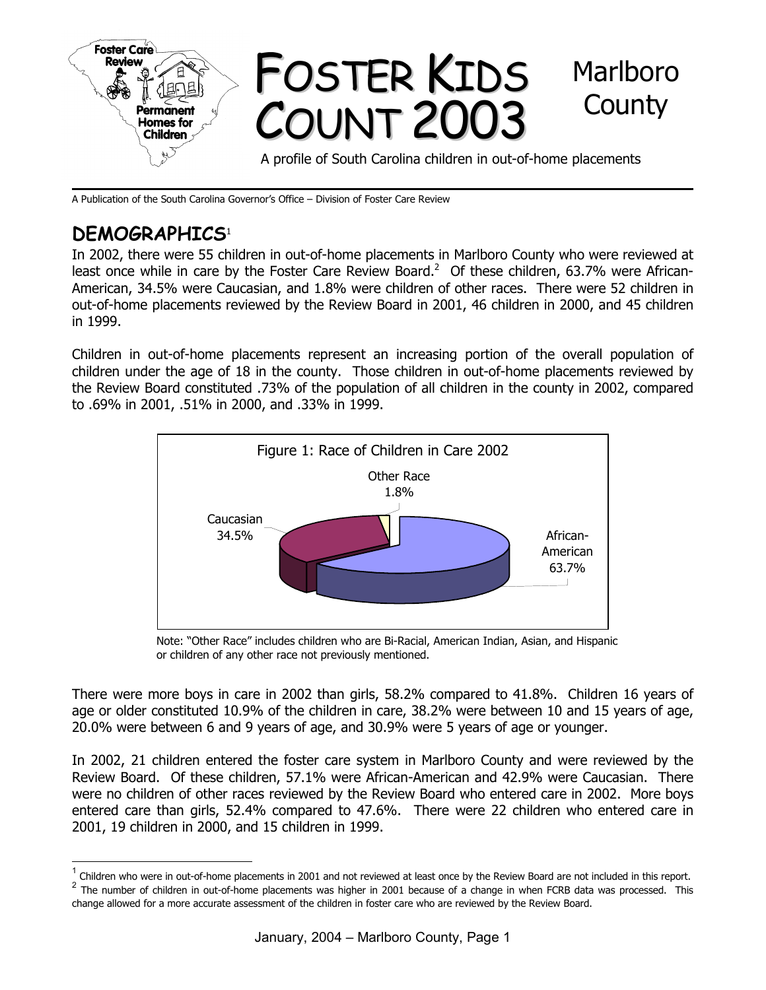

A Publication of the South Carolina Governor's Office – Division of Foster Care Review

# **DEMOGRAPHICS**<sup>1</sup>

l

In 2002, there were 55 children in out-of-home placements in Marlboro County who were reviewed at least once while in care by the Foster Care Review Board.<sup>2</sup> Of these children, 63.7% were African-American, 34.5% were Caucasian, and 1.8% were children of other races. There were 52 children in out-of-home placements reviewed by the Review Board in 2001, 46 children in 2000, and 45 children in 1999.

Children in out-of-home placements represent an increasing portion of the overall population of children under the age of 18 in the county. Those children in out-of-home placements reviewed by the Review Board constituted .73% of the population of all children in the county in 2002, compared to .69% in 2001, .51% in 2000, and .33% in 1999.



Note: "Other Race" includes children who are Bi-Racial, American Indian, Asian, and Hispanic or children of any other race not previously mentioned.

There were more boys in care in 2002 than girls, 58.2% compared to 41.8%. Children 16 years of age or older constituted 10.9% of the children in care, 38.2% were between 10 and 15 years of age, 20.0% were between 6 and 9 years of age, and 30.9% were 5 years of age or younger.

In 2002, 21 children entered the foster care system in Marlboro County and were reviewed by the Review Board. Of these children, 57.1% were African-American and 42.9% were Caucasian. There were no children of other races reviewed by the Review Board who entered care in 2002. More boys entered care than girls, 52.4% compared to 47.6%. There were 22 children who entered care in 2001, 19 children in 2000, and 15 children in 1999.

<sup>1</sup> Children who were in out-of-home placements in 2001 and not reviewed at least once by the Review Board are not included in this report.

<sup>2</sup> The number of children in out-of-home placements was higher in 2001 because of a change in when FCRB data was processed. This change allowed for a more accurate assessment of the children in foster care who are reviewed by the Review Board.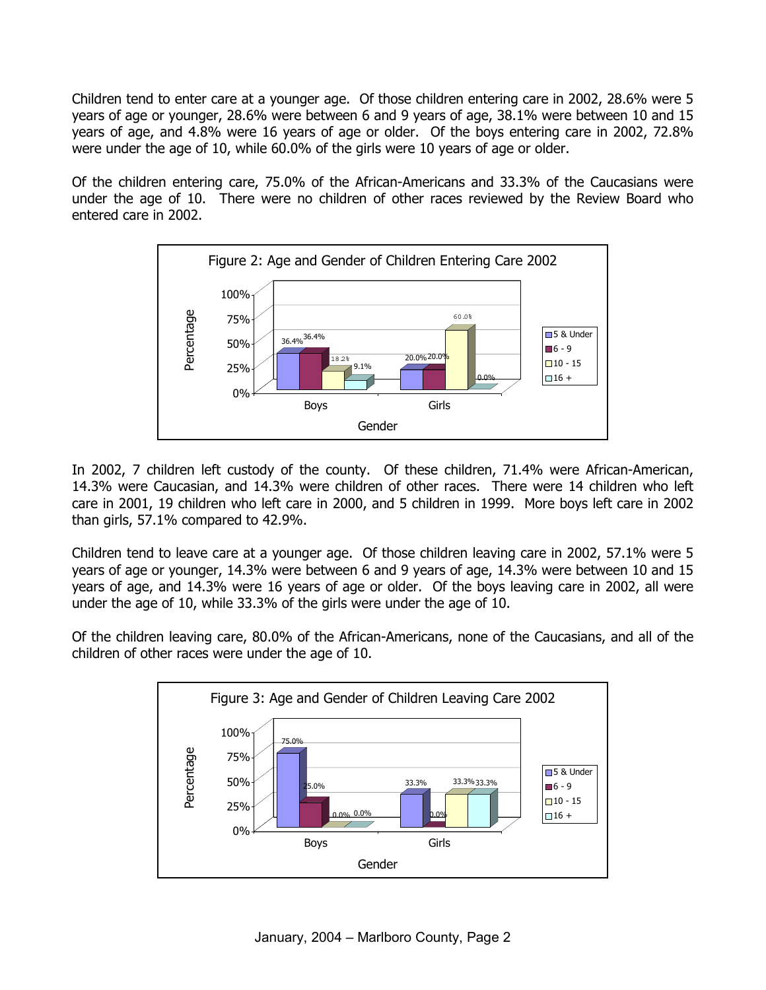Children tend to enter care at a younger age. Of those children entering care in 2002, 28.6% were 5 years of age or younger, 28.6% were between 6 and 9 years of age, 38.1% were between 10 and 15 years of age, and 4.8% were 16 years of age or older. Of the boys entering care in 2002, 72.8% were under the age of 10, while 60.0% of the girls were 10 years of age or older.

Of the children entering care, 75.0% of the African-Americans and 33.3% of the Caucasians were under the age of 10. There were no children of other races reviewed by the Review Board who entered care in 2002.



In 2002, 7 children left custody of the county. Of these children, 71.4% were African-American, 14.3% were Caucasian, and 14.3% were children of other races. There were 14 children who left care in 2001, 19 children who left care in 2000, and 5 children in 1999. More boys left care in 2002 than girls, 57.1% compared to 42.9%.

Children tend to leave care at a younger age. Of those children leaving care in 2002, 57.1% were 5 years of age or younger, 14.3% were between 6 and 9 years of age, 14.3% were between 10 and 15 years of age, and 14.3% were 16 years of age or older. Of the boys leaving care in 2002, all were under the age of 10, while 33.3% of the girls were under the age of 10.

Of the children leaving care, 80.0% of the African-Americans, none of the Caucasians, and all of the children of other races were under the age of 10.

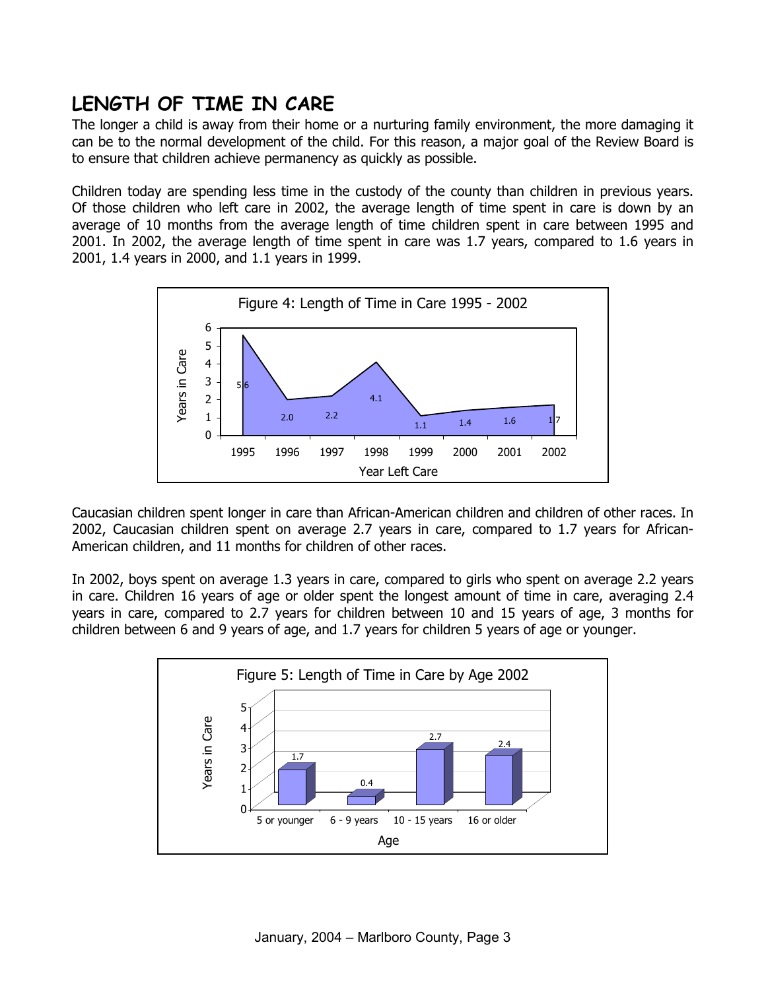# **LENGTH OF TIME IN CARE**

The longer a child is away from their home or a nurturing family environment, the more damaging it can be to the normal development of the child. For this reason, a major goal of the Review Board is to ensure that children achieve permanency as quickly as possible.

Children today are spending less time in the custody of the county than children in previous years. Of those children who left care in 2002, the average length of time spent in care is down by an average of 10 months from the average length of time children spent in care between 1995 and 2001. In 2002, the average length of time spent in care was 1.7 years, compared to 1.6 years in 2001, 1.4 years in 2000, and 1.1 years in 1999.



Caucasian children spent longer in care than African-American children and children of other races. In 2002, Caucasian children spent on average 2.7 years in care, compared to 1.7 years for African-American children, and 11 months for children of other races.

In 2002, boys spent on average 1.3 years in care, compared to girls who spent on average 2.2 years in care. Children 16 years of age or older spent the longest amount of time in care, averaging 2.4 years in care, compared to 2.7 years for children between 10 and 15 years of age, 3 months for children between 6 and 9 years of age, and 1.7 years for children 5 years of age or younger.

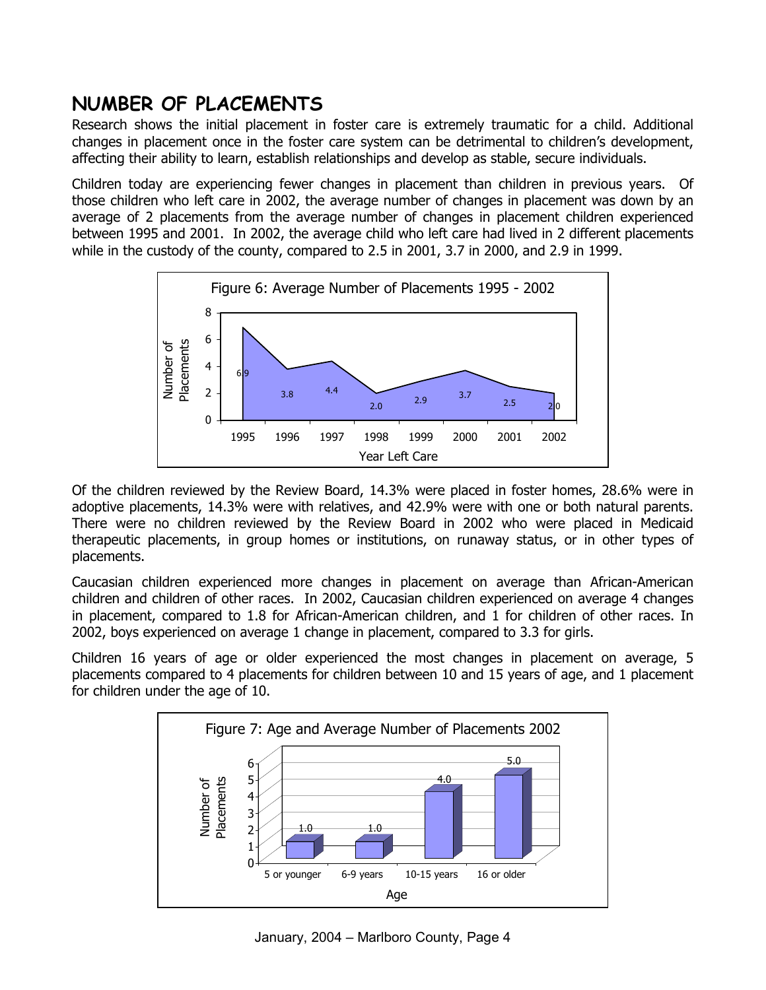# **NUMBER OF PLACEMENTS**

Research shows the initial placement in foster care is extremely traumatic for a child. Additional changes in placement once in the foster care system can be detrimental to children's development, affecting their ability to learn, establish relationships and develop as stable, secure individuals.

Children today are experiencing fewer changes in placement than children in previous years. Of those children who left care in 2002, the average number of changes in placement was down by an average of 2 placements from the average number of changes in placement children experienced between 1995 and 2001. In 2002, the average child who left care had lived in 2 different placements while in the custody of the county, compared to 2.5 in 2001, 3.7 in 2000, and 2.9 in 1999.



Of the children reviewed by the Review Board, 14.3% were placed in foster homes, 28.6% were in adoptive placements, 14.3% were with relatives, and 42.9% were with one or both natural parents. There were no children reviewed by the Review Board in 2002 who were placed in Medicaid therapeutic placements, in group homes or institutions, on runaway status, or in other types of placements.

Caucasian children experienced more changes in placement on average than African-American children and children of other races. In 2002, Caucasian children experienced on average 4 changes in placement, compared to 1.8 for African-American children, and 1 for children of other races. In 2002, boys experienced on average 1 change in placement, compared to 3.3 for girls.

Children 16 years of age or older experienced the most changes in placement on average, 5 placements compared to 4 placements for children between 10 and 15 years of age, and 1 placement for children under the age of 10.

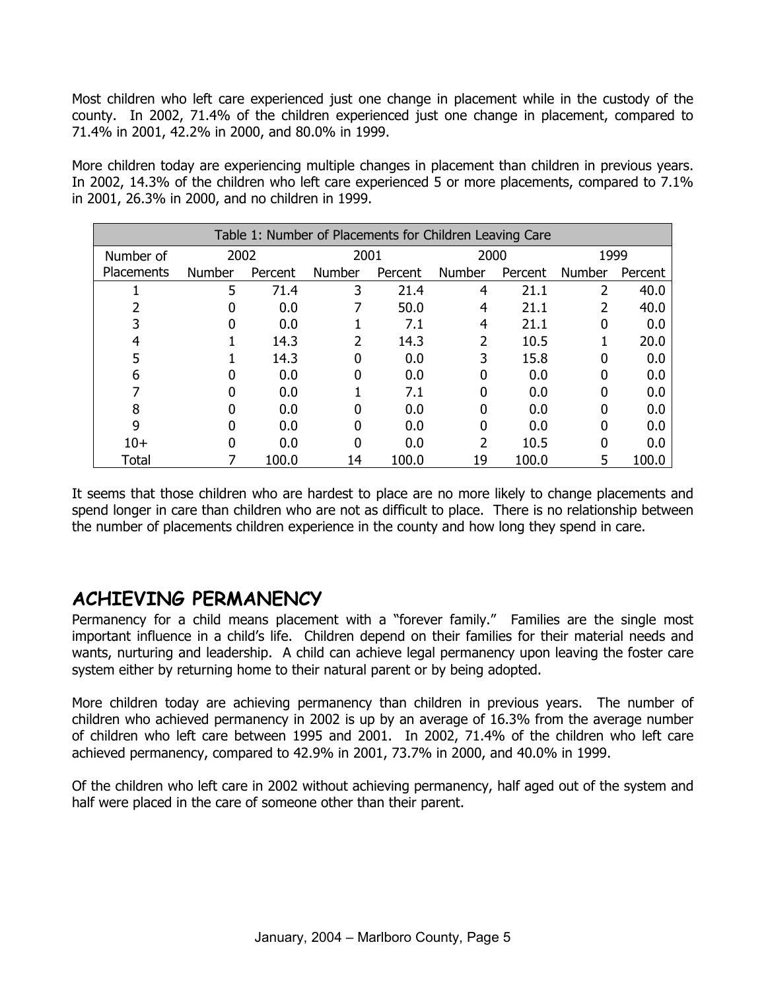Most children who left care experienced just one change in placement while in the custody of the county. In 2002, 71.4% of the children experienced just one change in placement, compared to 71.4% in 2001, 42.2% in 2000, and 80.0% in 1999.

More children today are experiencing multiple changes in placement than children in previous years. In 2002, 14.3% of the children who left care experienced 5 or more placements, compared to 7.1% in 2001, 26.3% in 2000, and no children in 1999.

| Table 1: Number of Placements for Children Leaving Care |               |         |               |         |               |         |        |         |
|---------------------------------------------------------|---------------|---------|---------------|---------|---------------|---------|--------|---------|
| Number of                                               | 2002          |         | 2001          |         | 2000          |         | 1999   |         |
| <b>Placements</b>                                       | <b>Number</b> | Percent | <b>Number</b> | Percent | <b>Number</b> | Percent | Number | Percent |
|                                                         | 5             | 71.4    | 3             | 21.4    | 4             | 21.1    | 2      | 40.0    |
|                                                         |               | 0.0     |               | 50.0    | 4             | 21.1    |        | 40.0    |
|                                                         |               | 0.0     |               | 7.1     | 4             | 21.1    |        | 0.0     |
|                                                         |               | 14.3    |               | 14.3    | 2             | 10.5    |        | 20.0    |
|                                                         |               | 14.3    | 0             | 0.0     | 3             | 15.8    |        | 0.0     |
| 6                                                       |               | 0.0     | 0             | 0.0     | 0             | 0.0     | 0      | 0.0     |
|                                                         |               | 0.0     |               | 7.1     | 0             | 0.0     |        | 0.0     |
| 8                                                       |               | 0.0     | 0             | 0.0     | 0             | 0.0     |        | 0.0     |
| 9                                                       |               | 0.0     | 0             | 0.0     | 0             | 0.0     | 0      | 0.0     |
| $10+$                                                   |               | 0.0     | 0             | 0.0     | 2             | 10.5    | 0      | 0.0     |
| Total                                                   |               | 100.0   | 14            | 100.0   | 19            | 100.0   | 5      | 100.0   |

It seems that those children who are hardest to place are no more likely to change placements and spend longer in care than children who are not as difficult to place. There is no relationship between the number of placements children experience in the county and how long they spend in care.

#### **ACHIEVING PERMANENCY**

Permanency for a child means placement with a "forever family." Families are the single most important influence in a child's life. Children depend on their families for their material needs and wants, nurturing and leadership. A child can achieve legal permanency upon leaving the foster care system either by returning home to their natural parent or by being adopted.

More children today are achieving permanency than children in previous years. The number of children who achieved permanency in 2002 is up by an average of 16.3% from the average number of children who left care between 1995 and 2001. In 2002, 71.4% of the children who left care achieved permanency, compared to 42.9% in 2001, 73.7% in 2000, and 40.0% in 1999.

Of the children who left care in 2002 without achieving permanency, half aged out of the system and half were placed in the care of someone other than their parent.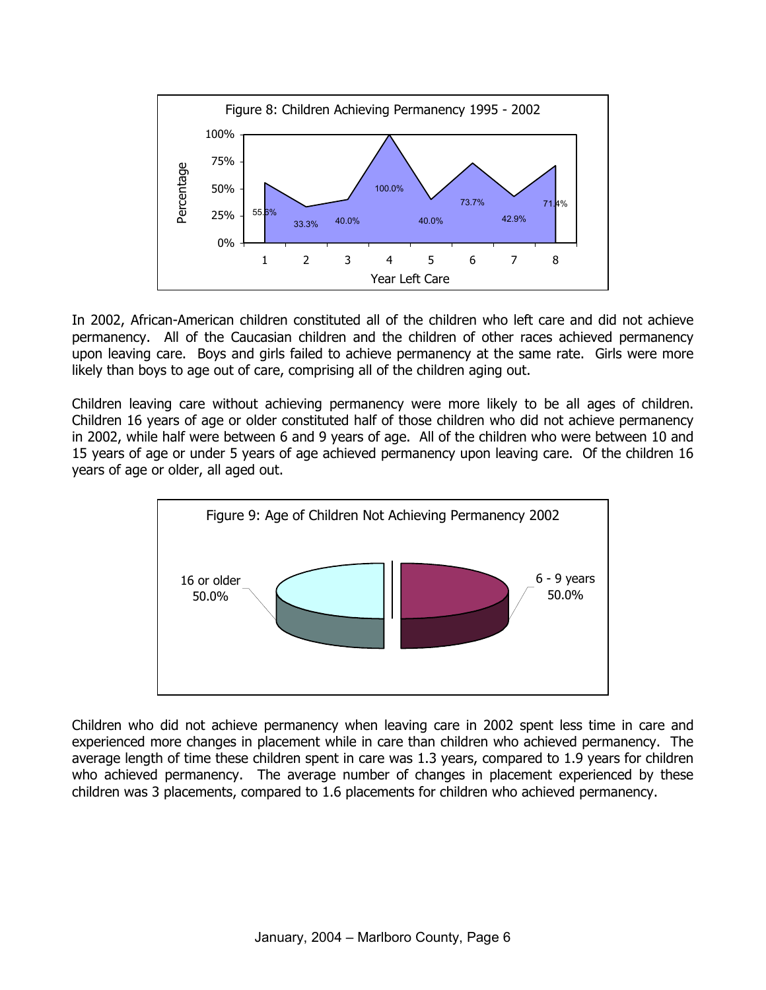

In 2002, African-American children constituted all of the children who left care and did not achieve permanency. All of the Caucasian children and the children of other races achieved permanency upon leaving care. Boys and girls failed to achieve permanency at the same rate. Girls were more likely than boys to age out of care, comprising all of the children aging out.

Children leaving care without achieving permanency were more likely to be all ages of children. Children 16 years of age or older constituted half of those children who did not achieve permanency in 2002, while half were between 6 and 9 years of age. All of the children who were between 10 and 15 years of age or under 5 years of age achieved permanency upon leaving care. Of the children 16 years of age or older, all aged out.



Children who did not achieve permanency when leaving care in 2002 spent less time in care and experienced more changes in placement while in care than children who achieved permanency. The average length of time these children spent in care was 1.3 years, compared to 1.9 years for children who achieved permanency. The average number of changes in placement experienced by these children was 3 placements, compared to 1.6 placements for children who achieved permanency.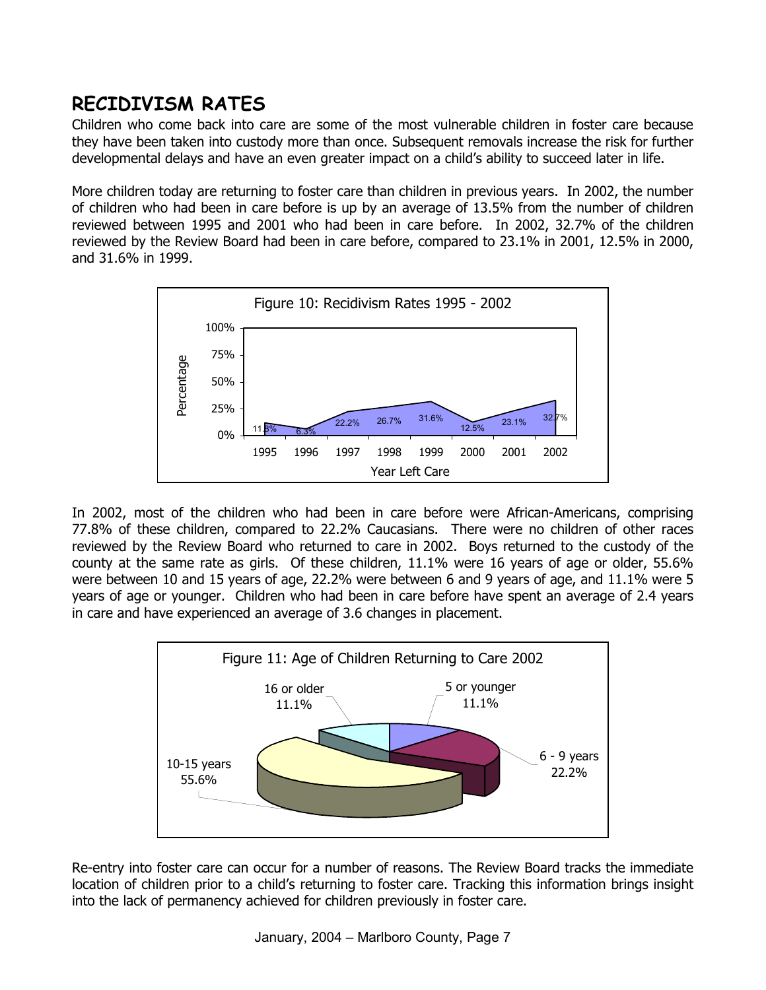# **RECIDIVISM RATES**

Children who come back into care are some of the most vulnerable children in foster care because they have been taken into custody more than once. Subsequent removals increase the risk for further developmental delays and have an even greater impact on a child's ability to succeed later in life.

More children today are returning to foster care than children in previous years. In 2002, the number of children who had been in care before is up by an average of 13.5% from the number of children reviewed between 1995 and 2001 who had been in care before. In 2002, 32.7% of the children reviewed by the Review Board had been in care before, compared to 23.1% in 2001, 12.5% in 2000, and 31.6% in 1999.



In 2002, most of the children who had been in care before were African-Americans, comprising 77.8% of these children, compared to 22.2% Caucasians. There were no children of other races reviewed by the Review Board who returned to care in 2002. Boys returned to the custody of the county at the same rate as girls. Of these children, 11.1% were 16 years of age or older, 55.6% were between 10 and 15 years of age, 22.2% were between 6 and 9 years of age, and 11.1% were 5 years of age or younger. Children who had been in care before have spent an average of 2.4 years in care and have experienced an average of 3.6 changes in placement.



Re-entry into foster care can occur for a number of reasons. The Review Board tracks the immediate location of children prior to a child's returning to foster care. Tracking this information brings insight into the lack of permanency achieved for children previously in foster care.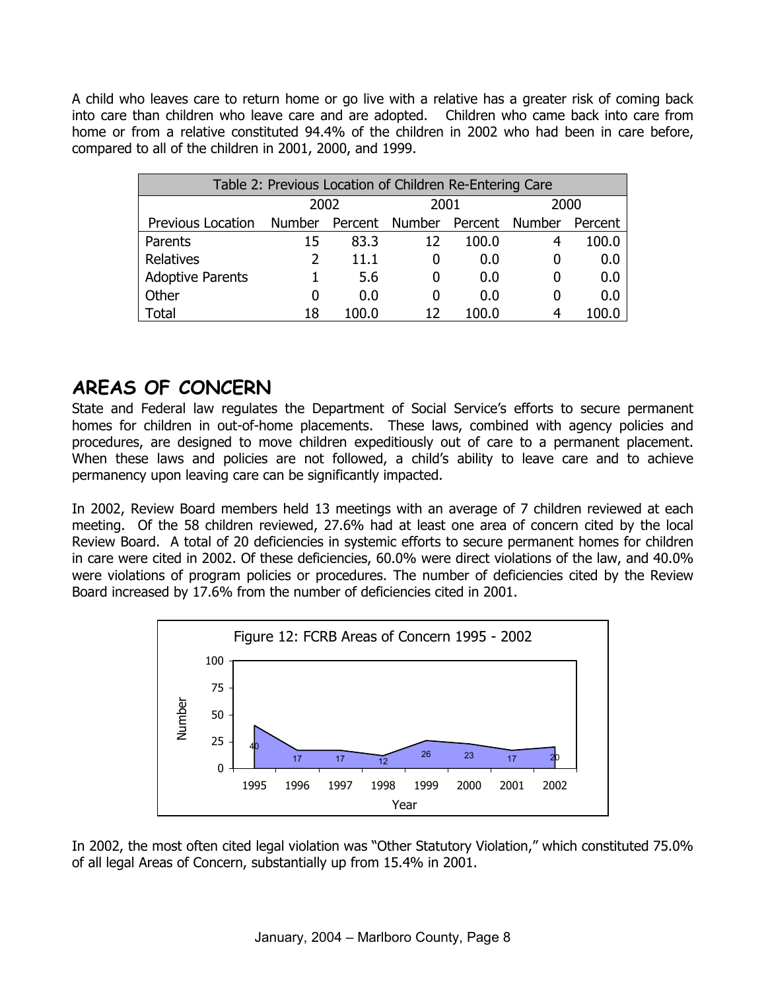A child who leaves care to return home or go live with a relative has a greater risk of coming back into care than children who leave care and are adopted. Children who came back into care from home or from a relative constituted 94.4% of the children in 2002 who had been in care before, compared to all of the children in 2001, 2000, and 1999.

| Table 2: Previous Location of Children Re-Entering Care |        |       |                               |       |      |         |  |
|---------------------------------------------------------|--------|-------|-------------------------------|-------|------|---------|--|
|                                                         | 2002   |       | 2001                          |       | 2000 |         |  |
| Previous Location                                       | Number |       | Percent Number Percent Number |       |      | Percent |  |
| Parents                                                 | 15     | 83.3  | 12                            | 100.0 | 4    | 100.0   |  |
| Relatives                                               |        | 11.1  |                               | 0.0   | 0    | 0.0     |  |
| <b>Adoptive Parents</b>                                 |        | 5.6   |                               | 0.0   | 0    | 0.0     |  |
| Other                                                   | 0      | 0.0   |                               | 0.0   | 0    | 0.0     |  |
| Total                                                   | 18     | 100.0 |                               | 100.0 | 4    |         |  |

### **AREAS OF CONCERN**

State and Federal law regulates the Department of Social Service's efforts to secure permanent homes for children in out-of-home placements. These laws, combined with agency policies and procedures, are designed to move children expeditiously out of care to a permanent placement. When these laws and policies are not followed, a child's ability to leave care and to achieve permanency upon leaving care can be significantly impacted.

In 2002, Review Board members held 13 meetings with an average of 7 children reviewed at each meeting. Of the 58 children reviewed, 27.6% had at least one area of concern cited by the local Review Board. A total of 20 deficiencies in systemic efforts to secure permanent homes for children in care were cited in 2002. Of these deficiencies, 60.0% were direct violations of the law, and 40.0% were violations of program policies or procedures. The number of deficiencies cited by the Review Board increased by 17.6% from the number of deficiencies cited in 2001.



In 2002, the most often cited legal violation was "Other Statutory Violation," which constituted 75.0% of all legal Areas of Concern, substantially up from 15.4% in 2001.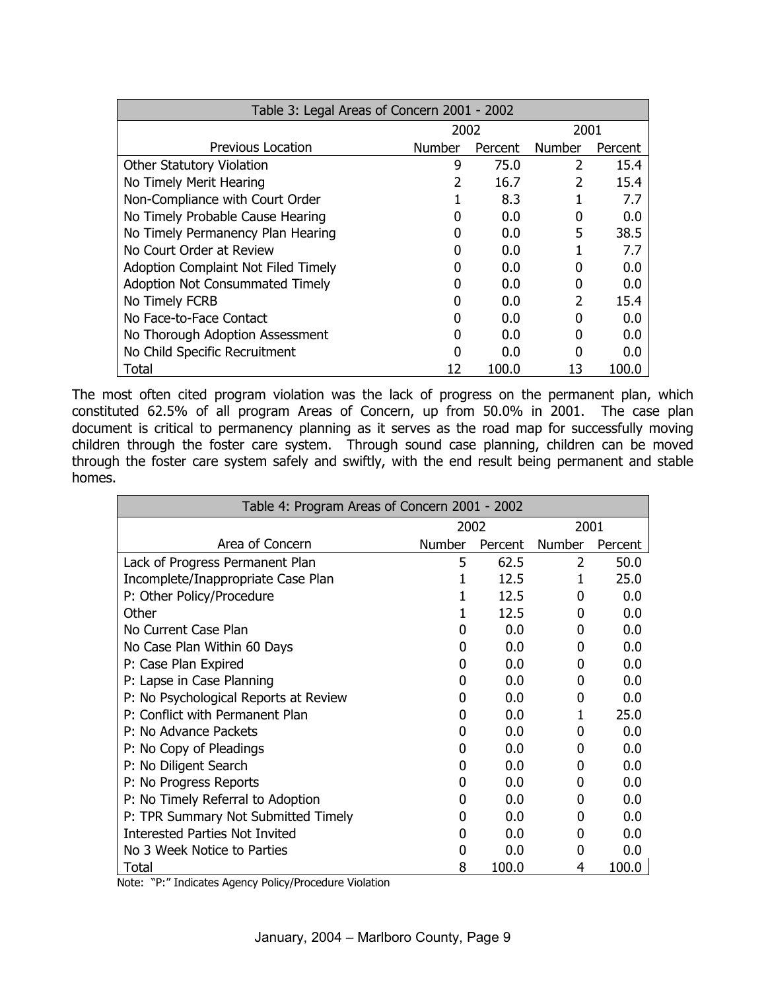| Table 3: Legal Areas of Concern 2001 - 2002 |               |         |               |         |  |  |  |
|---------------------------------------------|---------------|---------|---------------|---------|--|--|--|
|                                             | 2002          |         | 2001          |         |  |  |  |
| Previous Location                           | <b>Number</b> | Percent | <b>Number</b> | Percent |  |  |  |
| <b>Other Statutory Violation</b>            | 9             | 75.0    | 2             | 15.4    |  |  |  |
| No Timely Merit Hearing                     |               | 16.7    | $\mathcal{P}$ | 15.4    |  |  |  |
| Non-Compliance with Court Order             |               | 8.3     |               | 7.7     |  |  |  |
| No Timely Probable Cause Hearing            |               | 0.0     | 0             | 0.0     |  |  |  |
| No Timely Permanency Plan Hearing           |               | 0.0     | 5             | 38.5    |  |  |  |
| No Court Order at Review                    |               | 0.0     |               | 7.7     |  |  |  |
| Adoption Complaint Not Filed Timely         |               | 0.0     |               | 0.0     |  |  |  |
| <b>Adoption Not Consummated Timely</b>      |               | 0.0     |               | 0.0     |  |  |  |
| No Timely FCRB                              |               | 0.0     | $\mathcal{P}$ | 15.4    |  |  |  |
| No Face-to-Face Contact                     |               | 0.0     |               | 0.0     |  |  |  |
| No Thorough Adoption Assessment             |               | 0.0     |               | 0.0     |  |  |  |
| No Child Specific Recruitment               |               | 0.0     |               | 0.0     |  |  |  |
| Total                                       | 12            | 100.0   | 13            | 100.0   |  |  |  |

The most often cited program violation was the lack of progress on the permanent plan, which constituted 62.5% of all program Areas of Concern, up from 50.0% in 2001. The case plan document is critical to permanency planning as it serves as the road map for successfully moving children through the foster care system. Through sound case planning, children can be moved through the foster care system safely and swiftly, with the end result being permanent and stable homes.

| Table 4: Program Areas of Concern 2001 - 2002 |        |         |               |         |  |  |
|-----------------------------------------------|--------|---------|---------------|---------|--|--|
|                                               | 2002   |         | 2001          |         |  |  |
| Area of Concern                               | Number | Percent | <b>Number</b> | Percent |  |  |
| Lack of Progress Permanent Plan               | 5      | 62.5    | 2             | 50.0    |  |  |
| Incomplete/Inappropriate Case Plan            | 1      | 12.5    | 1             | 25.0    |  |  |
| P: Other Policy/Procedure                     |        | 12.5    | 0             | 0.0     |  |  |
| Other                                         |        | 12.5    | 0             | 0.0     |  |  |
| No Current Case Plan                          | 0      | 0.0     | 0             | 0.0     |  |  |
| No Case Plan Within 60 Days                   | 0      | 0.0     | 0             | 0.0     |  |  |
| P: Case Plan Expired                          | 0      | 0.0     | 0             | 0.0     |  |  |
| P: Lapse in Case Planning                     | 0      | 0.0     | 0             | 0.0     |  |  |
| P: No Psychological Reports at Review         | 0      | 0.0     | 0             | 0.0     |  |  |
| P: Conflict with Permanent Plan               | 0      | 0.0     |               | 25.0    |  |  |
| P: No Advance Packets                         | 0      | 0.0     | 0             | 0.0     |  |  |
| P: No Copy of Pleadings                       | 0      | 0.0     | 0             | 0.0     |  |  |
| P: No Diligent Search                         | 0      | 0.0     | 0             | 0.0     |  |  |
| P: No Progress Reports                        | 0      | 0.0     | 0             | 0.0     |  |  |
| P: No Timely Referral to Adoption             | 0      | 0.0     | 0             | 0.0     |  |  |
| P: TPR Summary Not Submitted Timely           | 0      | 0.0     | 0             | 0.0     |  |  |
| <b>Interested Parties Not Invited</b>         | 0      | 0.0     | 0             | 0.0     |  |  |
| No 3 Week Notice to Parties                   | 0      | 0.0     | O             | 0.0     |  |  |
| Total                                         | 8      | 100.0   | 4             | 100.0   |  |  |

Note: "P:" Indicates Agency Policy/Procedure Violation